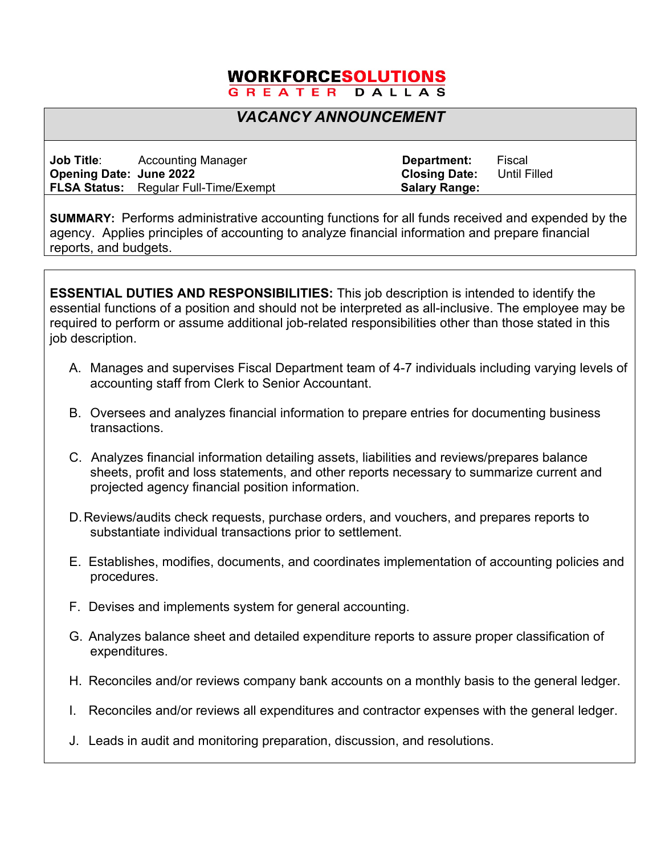## **WORKFORCESOLUTIONS**

## GREATER DALLAS

## *VACANCY ANNOUNCEMENT*

| <b>Job Title:</b>              | <b>Accounting Manager</b>                    | Department:          | Fiscal       |
|--------------------------------|----------------------------------------------|----------------------|--------------|
| <b>Opening Date: June 2022</b> |                                              | <b>Closing Date:</b> | Until Filled |
|                                | <b>FLSA Status:</b> Regular Full-Time/Exempt | <b>Salary Range:</b> |              |

**SUMMARY:** Performs administrative accounting functions for all funds received and expended by the agency. Applies principles of accounting to analyze financial information and prepare financial reports, and budgets.

**ESSENTIAL DUTIES AND RESPONSIBILITIES:** This job description is intended to identify the essential functions of a position and should not be interpreted as all-inclusive. The employee may be required to perform or assume additional job-related responsibilities other than those stated in this job description.

- A. Manages and supervises Fiscal Department team of 4-7 individuals including varying levels of accounting staff from Clerk to Senior Accountant.
- B. Oversees and analyzes financial information to prepare entries for documenting business transactions.
- C. Analyzes financial information detailing assets, liabilities and reviews/prepares balance sheets, profit and loss statements, and other reports necessary to summarize current and projected agency financial position information.
- D.Reviews/audits check requests, purchase orders, and vouchers, and prepares reports to substantiate individual transactions prior to settlement.
- E. Establishes, modifies, documents, and coordinates implementation of accounting policies and procedures.
- F. Devises and implements system for general accounting.
- G. Analyzes balance sheet and detailed expenditure reports to assure proper classification of expenditures.
- H. Reconciles and/or reviews company bank accounts on a monthly basis to the general ledger.
- I. Reconciles and/or reviews all expenditures and contractor expenses with the general ledger.
- J. Leads in audit and monitoring preparation, discussion, and resolutions.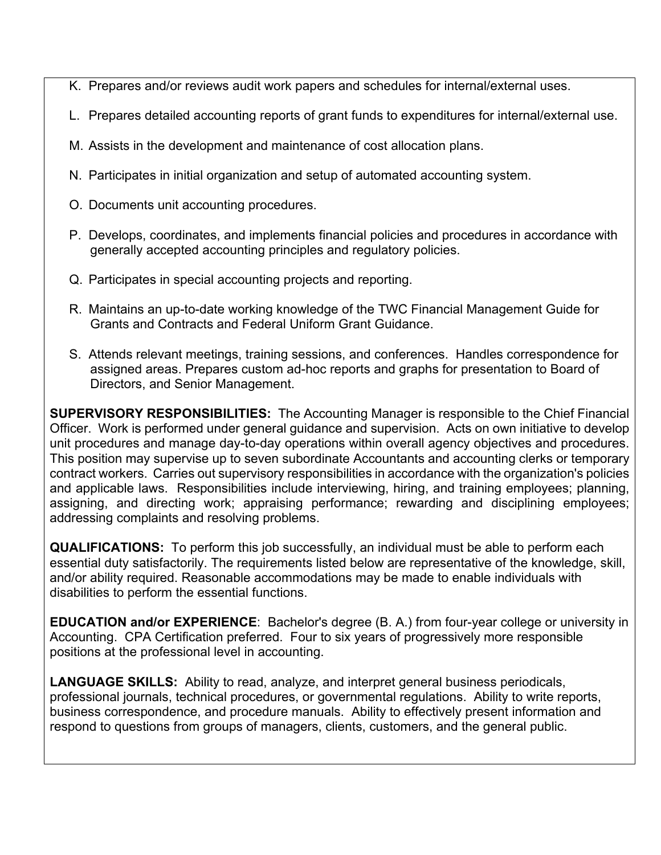- K. Prepares and/or reviews audit work papers and schedules for internal/external uses.
- L. Prepares detailed accounting reports of grant funds to expenditures for internal/external use.
- M. Assists in the development and maintenance of cost allocation plans.
- N. Participates in initial organization and setup of automated accounting system.
- O. Documents unit accounting procedures.
- P. Develops, coordinates, and implements financial policies and procedures in accordance with generally accepted accounting principles and regulatory policies.
- Q. Participates in special accounting projects and reporting.
- R. Maintains an up-to-date working knowledge of the TWC Financial Management Guide for Grants and Contracts and Federal Uniform Grant Guidance.
- S. Attends relevant meetings, training sessions, and conferences. Handles correspondence for assigned areas. Prepares custom ad-hoc reports and graphs for presentation to Board of Directors, and Senior Management.

**SUPERVISORY RESPONSIBILITIES:** The Accounting Manager is responsible to the Chief Financial Officer. Work is performed under general guidance and supervision. Acts on own initiative to develop unit procedures and manage day-to-day operations within overall agency objectives and procedures. This position may supervise up to seven subordinate Accountants and accounting clerks or temporary contract workers. Carries out supervisory responsibilities in accordance with the organization's policies and applicable laws. Responsibilities include interviewing, hiring, and training employees; planning, assigning, and directing work; appraising performance; rewarding and disciplining employees; addressing complaints and resolving problems.

**QUALIFICATIONS:** To perform this job successfully, an individual must be able to perform each essential duty satisfactorily. The requirements listed below are representative of the knowledge, skill, and/or ability required. Reasonable accommodations may be made to enable individuals with disabilities to perform the essential functions.

**EDUCATION and/or EXPERIENCE**: Bachelor's degree (B. A.) from four-year college or university in Accounting. CPA Certification preferred. Four to six years of progressively more responsible positions at the professional level in accounting.

**LANGUAGE SKILLS:** Ability to read, analyze, and interpret general business periodicals, professional journals, technical procedures, or governmental regulations. Ability to write reports, business correspondence, and procedure manuals. Ability to effectively present information and respond to questions from groups of managers, clients, customers, and the general public.